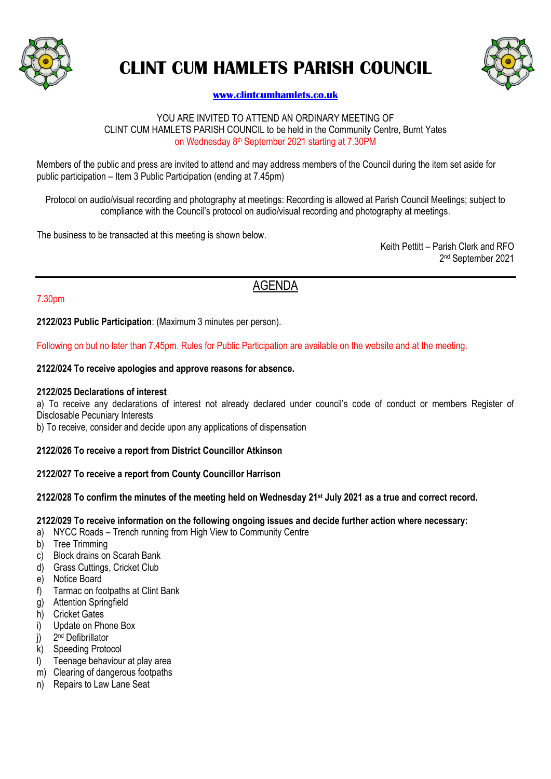

# **CLINT CUM HAMLETS PARISH COUNCIL**



# **[www.clintcumhamlets.co.uk](http://www.clintcumhamlets.co.uk/)**

#### YOU ARE INVITED TO ATTEND AN ORDINARY MEETING OF CLINT CUM HAMLETS PARISH COUNCIL to be held in the Community Centre, Burnt Yates on Wednesday 8<sup>th</sup> September 2021 starting at 7.30PM

Members of the public and press are invited to attend and may address members of the Council during the item set aside for public participation – Item 3 Public Participation (ending at 7.45pm)

Protocol on audio/visual recording and photography at meetings: Recording is allowed at Parish Council Meetings; subject to compliance with the Council's protocol on audio/visual recording and photography at meetings.

The business to be transacted at this meeting is shown below.

Keith Pettitt – Parish Clerk and RFO 2 nd September 2021

# AGENDA

### 7.30pm

**2122/023 Public Participation**: (Maximum 3 minutes per person).

Following on but no later than 7.45pm. Rules for Public Participation are available on the website and at the meeting.

#### **2122/024 To receive apologies and approve reasons for absence.**

#### **2122/025 Declarations of interest**

a) To receive any declarations of interest not already declared under council's code of conduct or members Register of Disclosable Pecuniary Interests

b) To receive, consider and decide upon any applications of dispensation

### **2122/026 To receive a report from District Councillor Atkinson**

### **2122/027 To receive a report from County Councillor Harrison**

### **2122/028 To confirm the minutes of the meeting held on Wednesday 21 st July 2021 as a true and correct record.**

#### **2122/029 To receive information on the following ongoing issues and decide further action where necessary:**

- a) NYCC Roads Trench running from High View to Community Centre
- b) Tree Trimming
- c) Block drains on Scarah Bank
- d) Grass Cuttings, Cricket Club
- e) Notice Board
- f) Tarmac on footpaths at Clint Bank
- g) Attention Springfield
- h) Cricket Gates
- i) Update on Phone Box
- $j)$ 2<sup>nd</sup> Defibrillator
- k) Speeding Protocol
- l) Teenage behaviour at play area
- m) Clearing of dangerous footpaths
- n) Repairs to Law Lane Seat